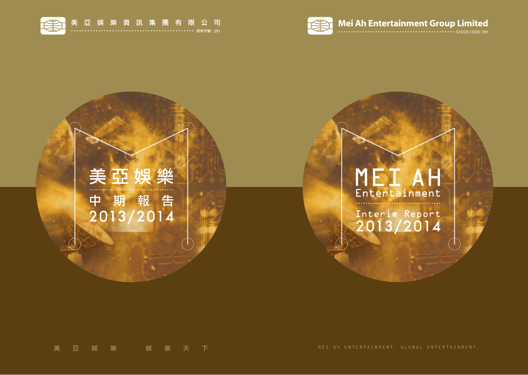

# MEI AH Entertainment

Interim Report<br>2013/2014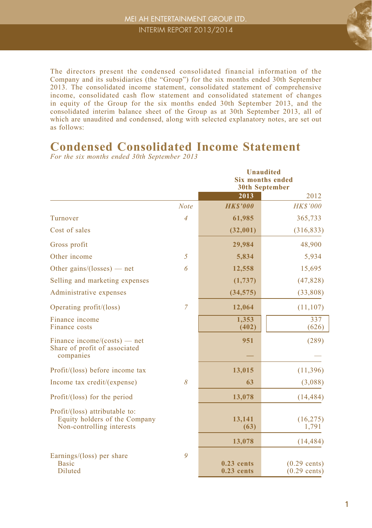

The directors present the condensed consolidated financial information of the Company and its subsidiaries (the "Group") for the six months ended 30th September 2013. The consolidated income statement, consolidated statement of comprehensive income, consolidated cash flow statement and consolidated statement of changes in equity of the Group for the six months ended 30th September 2013, and the consolidated interim balance sheet of the Group as at 30th September 2013, all of which are unaudited and condensed, along with selected explanatory notes, are set out as follows:

#### **Condensed Consolidated Income Statement** *For the six months ended 30th September 2013*

|                                                                                              |                | <b>Unaudited</b><br><b>Six months ended</b><br><b>30th September</b> |                                  |  |  |  |
|----------------------------------------------------------------------------------------------|----------------|----------------------------------------------------------------------|----------------------------------|--|--|--|
|                                                                                              |                | 2013                                                                 | 2012                             |  |  |  |
|                                                                                              | <b>Note</b>    | <b>HKS'000</b>                                                       | <b>HK\$'000</b>                  |  |  |  |
| Turnover                                                                                     | $\overline{4}$ | 61,985                                                               | 365,733                          |  |  |  |
| Cost of sales                                                                                |                | (32,001)                                                             | (316, 833)                       |  |  |  |
| Gross profit                                                                                 |                | 29,984                                                               | 48,900                           |  |  |  |
| Other income                                                                                 | 5              | 5,834                                                                | 5,934                            |  |  |  |
| Other gains/(losses) — net                                                                   | 6              | 12,558                                                               | 15,695                           |  |  |  |
| Selling and marketing expenses                                                               |                | (1,737)                                                              | (47, 828)                        |  |  |  |
| Administrative expenses                                                                      |                | (34, 575)                                                            | (33,808)                         |  |  |  |
| Operating profit/(loss)                                                                      | $\overline{7}$ | 12,064                                                               | (11, 107)                        |  |  |  |
| Finance income<br>Finance costs                                                              |                | 1,353<br>(402)                                                       | 337<br>(626)                     |  |  |  |
| Finance income/(costs) — net<br>Share of profit of associated<br>companies                   |                | 951                                                                  | (289)                            |  |  |  |
| Profit/(loss) before income tax                                                              |                | 13,015                                                               | (11, 396)                        |  |  |  |
| Income tax credit/(expense)                                                                  | 8              | 63                                                                   | (3,088)                          |  |  |  |
| Profit/(loss) for the period                                                                 |                | 13,078                                                               | (14, 484)                        |  |  |  |
| Profit/(loss) attributable to:<br>Equity holders of the Company<br>Non-controlling interests |                | 13,141<br>(63)                                                       | (16, 275)<br>1,791               |  |  |  |
|                                                                                              |                | 13,078                                                               | (14, 484)                        |  |  |  |
| Earnings/(loss) per share<br><b>Basic</b><br>Diluted                                         | 9              | $0.23$ cents<br>$0.23$ cents                                         | $(0.29$ cents)<br>$(0.29$ cents) |  |  |  |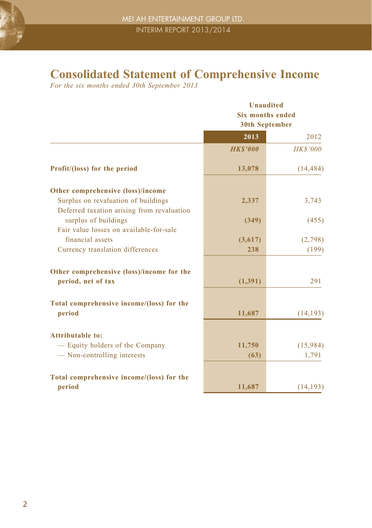### **Consolidated Statement of Comprehensive Income**

*For the six months ended 30th September 2013*

|                                                                                   |                | <b>Unaudited</b><br><b>Six months ended</b><br><b>30th September</b> |  |  |  |
|-----------------------------------------------------------------------------------|----------------|----------------------------------------------------------------------|--|--|--|
|                                                                                   | 2013           | 2012                                                                 |  |  |  |
|                                                                                   | <b>HKS'000</b> | <b>HK\$'000</b>                                                      |  |  |  |
| Profit/(loss) for the period                                                      | 13,078         | (14, 484)                                                            |  |  |  |
| Other comprehensive (loss)/income                                                 |                |                                                                      |  |  |  |
| Surplus on revaluation of buildings<br>Deferred taxation arising from revaluation | 2,337          | 3,743                                                                |  |  |  |
| surplus of buildings                                                              | (349)          | (455)                                                                |  |  |  |
| Fair value losses on available-for-sale<br>financial assets                       | (3,617)        | (2,798)                                                              |  |  |  |
| Currency translation differences                                                  | 238            | (199)                                                                |  |  |  |
| Other comprehensive (loss)/income for the                                         |                |                                                                      |  |  |  |
| period, net of tax                                                                | (1, 391)       | 291                                                                  |  |  |  |
| Total comprehensive income/(loss) for the                                         |                |                                                                      |  |  |  |
| period                                                                            | 11,687         | (14, 193)                                                            |  |  |  |
| <b>Attributable to:</b>                                                           |                |                                                                      |  |  |  |
| - Equity holders of the Company                                                   | 11,750         | (15,984)                                                             |  |  |  |
| — Non-controlling interests                                                       | (63)           | 1,791                                                                |  |  |  |
| Total comprehensive income/(loss) for the                                         |                |                                                                      |  |  |  |
| period                                                                            | 11,687         | (14, 193)                                                            |  |  |  |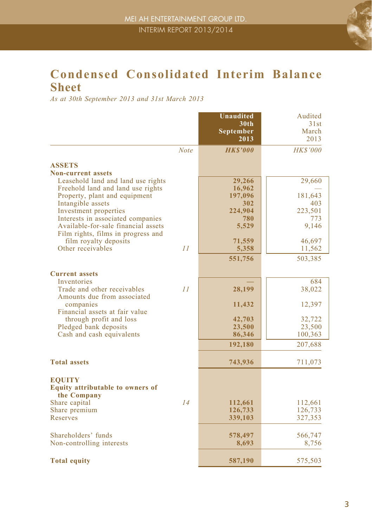

### **Condensed Consolidated Interim Balance Sheet**

*As at 30th September 2013 and 31st March 2013*

|                                         |             | <b>Unaudited</b><br>30 <sub>th</sub> | Audited<br>31st    |
|-----------------------------------------|-------------|--------------------------------------|--------------------|
|                                         |             | September                            | March              |
|                                         |             | 2013                                 | 2013               |
|                                         | <b>Note</b> | <b>HKS'000</b>                       | <b>HKS'000</b>     |
| <b>ASSETS</b>                           |             |                                      |                    |
| <b>Non-current assets</b>               |             |                                      |                    |
| Leasehold land and land use rights      |             | 29,266                               | 29,660             |
| Freehold land and land use rights       |             | 16,962                               |                    |
| Property, plant and equipment           |             | 197,096                              | 181,643            |
| Intangible assets                       |             | 302                                  | 403                |
| Investment properties                   |             | 224,904                              | 223,501            |
| Interests in associated companies       |             | 780                                  | 773                |
| Available-for-sale financial assets     |             | 5,529                                | 9,146              |
| Film rights, films in progress and      |             |                                      |                    |
| film royalty deposits                   |             | 71,559                               | 46,697             |
| Other receivables                       | 11          | 5,358                                | 11,562             |
|                                         |             | 551,756                              | 503,385            |
| <b>Current assets</b>                   |             |                                      |                    |
| Inventories                             |             |                                      | 684                |
| Trade and other receivables             | 11          | 28,199                               | 38,022             |
| Amounts due from associated             |             |                                      |                    |
| companies                               |             | 11,432                               | 12,397             |
| Financial assets at fair value          |             |                                      |                    |
| through profit and loss                 |             | 42,703                               | 32,722             |
| Pledged bank deposits                   |             | 23,500                               | 23,500             |
| Cash and cash equivalents               |             | 86,346                               | 100,363            |
|                                         |             | 192,180                              | 207,688            |
|                                         |             |                                      |                    |
| <b>Total assets</b>                     |             | 743,936                              | 711,073            |
|                                         |             |                                      |                    |
| <b>EOUITY</b>                           |             |                                      |                    |
| <b>Equity attributable to owners of</b> |             |                                      |                    |
| the Company                             | 14          |                                      |                    |
| Share capital                           |             | 112,661                              | 112,661            |
| Share premium<br>Reserves               |             | 126,733                              | 126,733<br>327,353 |
|                                         |             | 339,103                              |                    |
| Shareholders' funds                     |             | 578,497                              | 566,747            |
| Non-controlling interests               |             | 8,693                                | 8,756              |
|                                         |             |                                      |                    |
| <b>Total equity</b>                     |             | 587,190                              | 575,503            |
|                                         |             |                                      |                    |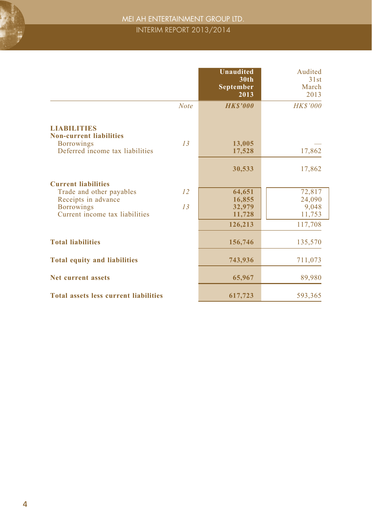

### MEI AH ENTERTAINMENT GROUP LTD. INTERIM REPORT 2013/2014

|                                                                                                                                      | <b>Unaudited</b><br>30 <sub>th</sub><br>September<br>2013   | Audited<br>31st<br>March<br>2013               |
|--------------------------------------------------------------------------------------------------------------------------------------|-------------------------------------------------------------|------------------------------------------------|
| <b>LIABILITIES</b>                                                                                                                   | <b>HKS'000</b><br><b>Note</b>                               | <b>HK\$'000</b>                                |
| <b>Non-current liabilities</b><br><b>Borrowings</b><br>Deferred income tax liabilities                                               | 13<br>13,005<br>17,528<br>30,533                            | 17,862<br>17,862                               |
| <b>Current liabilities</b><br>Trade and other payables<br>Receipts in advance<br><b>Borrowings</b><br>Current income tax liabilities | 12<br>64,651<br>16,855<br>13<br>32,979<br>11,728<br>126,213 | 72,817<br>24,090<br>9,048<br>11,753<br>117,708 |
| <b>Total liabilities</b>                                                                                                             | 156,746                                                     | 135,570                                        |
| <b>Total equity and liabilities</b>                                                                                                  | 743,936                                                     | 711,073                                        |
| <b>Net current assets</b>                                                                                                            | 65,967                                                      | 89,980                                         |
| <b>Total assets less current liabilities</b>                                                                                         | 617,723                                                     | 593,365                                        |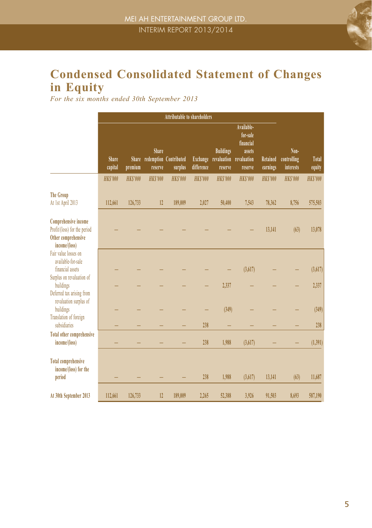

# **Condensed Consolidated Statement of Changes in Equity**

*For the six months ended 30th September 2013*

|                                                                                                     | Attributable to shareholders |                         |                  |                                   |                        |                                            |                                                                         |                             |                                  |                 |
|-----------------------------------------------------------------------------------------------------|------------------------------|-------------------------|------------------|-----------------------------------|------------------------|--------------------------------------------|-------------------------------------------------------------------------|-----------------------------|----------------------------------|-----------------|
|                                                                                                     | <b>Share</b><br>capital      | <b>Share</b><br>premium | Share<br>reserve | redemption Contributed<br>surplus | Exchange<br>difference | <b>Buildings</b><br>revaluation<br>reserve | Available-<br>for-sale<br>financial<br>assets<br>revaluation<br>reserve | <b>Retained</b><br>earnings | Non-<br>controlling<br>interests | Total<br>equity |
|                                                                                                     | <b>HKS'000</b>               | <b>HKS'000</b>          | <b>HKS'000</b>   | <b>HKS'000</b>                    | <b>HKS'000</b>         | <b>HKS'000</b>                             | <b>HKS'000</b>                                                          | <b>HKS'000</b>              | <b>HKS'000</b>                   | <b>HKS'000</b>  |
| <b>The Group</b><br>At 1st April 2013                                                               | 112,661                      | 126,733                 | 12               | 189,009                           | 2,027                  | 50,400                                     | 7,543                                                                   | 78,362                      | 8,756                            | 575,503         |
| <b>Comprehensive income</b><br>Profit/(loss) for the period<br>Other comprehensive<br>income/(loss) |                              |                         |                  |                                   |                        |                                            |                                                                         | 13,141                      | (63)                             | 13,078          |
| Fair value losses on<br>available-for-sale<br>financial assets<br>Surplus on revaluation of         |                              |                         |                  |                                   |                        |                                            | (3,617)                                                                 |                             |                                  | (3, 617)        |
| buildings                                                                                           |                              |                         |                  |                                   |                        | 2,337                                      |                                                                         |                             |                                  | 2,337           |
| Deferred tax arising from<br>revaluation surplus of<br>buildings<br>Translation of foreign          |                              |                         |                  |                                   |                        | (349)                                      |                                                                         |                             |                                  | (349)           |
| subsidiaries                                                                                        |                              |                         |                  |                                   | 238                    |                                            |                                                                         |                             |                                  | 238             |
| <b>Total other comprehensive</b><br>income/(loss)                                                   |                              |                         |                  |                                   | 238                    | 1,988                                      | (3,617)                                                                 |                             |                                  | (1,391)         |
| <b>Total comprehensive</b><br>income/(loss) for the<br>period                                       |                              |                         |                  |                                   | 238                    | 1,988                                      | (3,617)                                                                 | 13,141                      | (63)                             | 11,687          |
| At 30th September 2013                                                                              | 112,661                      | 126,733                 | 12               | 189,009                           | 2,265                  | 52,388                                     | 3,926                                                                   | 91,503                      | 8,693                            | 587,190         |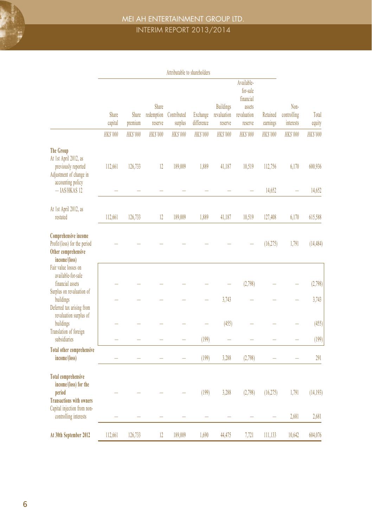

### MEI AH ENTERTAINMENT GROUP LTD. INTERIM REPORT 2013/2014

|                                                                                                                                     | Attributable to shareholders |                  |                                |                        |                        |                                            |                                                                         |                      |                                  |                   |
|-------------------------------------------------------------------------------------------------------------------------------------|------------------------------|------------------|--------------------------------|------------------------|------------------------|--------------------------------------------|-------------------------------------------------------------------------|----------------------|----------------------------------|-------------------|
|                                                                                                                                     | Share<br>capital             | Share<br>premium | Share<br>redemption<br>reserve | Contributed<br>surplus | Exchange<br>difference | <b>Buildings</b><br>revaluation<br>reserve | Available-<br>for-sale<br>financial<br>assets<br>revaluation<br>reserve | Retained<br>earnings | Non-<br>controlling<br>interests | Total<br>equity   |
|                                                                                                                                     | HK\$'000                     | <b>HK\$'000</b>  | <b>HKS'000</b>                 | <b>HK\$'000</b>        | <b>HK\$'000</b>        | HK\$'000                                   | <b>HK\$'000</b>                                                         | <b>HK\$'000</b>      | HK\$'000                         | <b>HK\$'000</b>   |
| <b>The Group</b><br>At 1st April 2012, as<br>previously reported<br>Adjustment of change in<br>accounting policy<br>$-$ IAS/HKAS 12 | 112,661                      | 126,733          | 12                             | 189,009                | 1,889                  | 41,187                                     | 10,519                                                                  | 112,756<br>14,652    | 6,170                            | 600,936<br>14,652 |
| At 1st April 2012, as<br>restated                                                                                                   | 112,661                      | 126,733          | 12                             | 189,009                | 1,889                  | 41,187                                     | 10,519                                                                  | 127,408              | 6,170                            | 615,588           |
| Comprehensive income<br>Profit/(loss) for the period<br>Other comprehensive<br>income/(loss)                                        |                              |                  |                                |                        |                        |                                            |                                                                         | (16,275)             | 1,791                            | (14, 484)         |
| Fair value losses on<br>available-for-sale<br>financial assets<br>Surplus on revaluation of<br>buildings                            |                              |                  |                                |                        |                        | 3,743                                      | (2,798)                                                                 |                      |                                  | (2,798)<br>3,743  |
| Deferred tax arising from<br>revaluation surplus of<br>buildings<br>Translation of foreign<br>subsidiaries                          |                              |                  |                                |                        | (199)                  | (455)                                      |                                                                         |                      |                                  | (455)<br>(199)    |
| <b>Total other comprehensive</b><br>income/(loss)                                                                                   | ÷,                           | L.               | L.                             |                        | (199)                  | 3,288                                      | (2,798)                                                                 |                      | Ľ.                               | 291               |
| <b>Total comprehensive</b><br>income/(loss) for the<br>period<br><b>Transactions with owners</b><br>Capital injection from non-     |                              |                  |                                |                        | (199)                  | 3,288                                      | (2,798)                                                                 | (16,275)             | 1,791                            | (14, 193)         |
| controlling interests                                                                                                               |                              |                  |                                |                        |                        |                                            |                                                                         |                      | 2,681                            | 2,681             |
| At 30th September 2012                                                                                                              | 112,661                      | 126,733          | 12                             | 189,009                | 1,690                  | 44,475                                     | 7,721                                                                   | 111,133              | 10,642                           | 604,076           |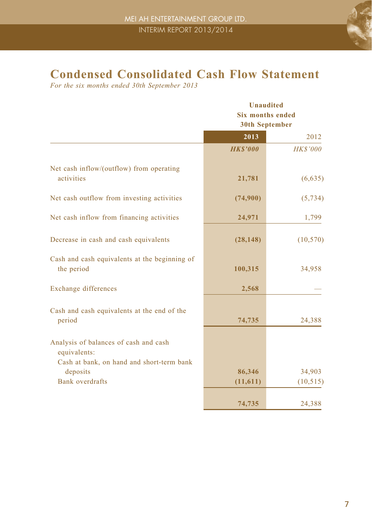

# **Condensed Consolidated Cash Flow Statement**

*For the six months ended 30th September 2013*

|                                                                                                    | <b>Unaudited</b><br><b>Six months ended</b><br><b>30th September</b> |                     |  |  |
|----------------------------------------------------------------------------------------------------|----------------------------------------------------------------------|---------------------|--|--|
|                                                                                                    | 2013                                                                 | 2012                |  |  |
|                                                                                                    | <b>HKS'000</b>                                                       | <b>HK\$'000</b>     |  |  |
| Net cash inflow/(outflow) from operating<br>activities                                             | 21,781                                                               | (6,635)             |  |  |
| Net cash outflow from investing activities                                                         | (74,900)                                                             | (5, 734)            |  |  |
| Net cash inflow from financing activities                                                          | 24,971                                                               | 1,799               |  |  |
| Decrease in cash and cash equivalents                                                              | (28, 148)                                                            | (10, 570)           |  |  |
| Cash and cash equivalents at the beginning of<br>the period                                        | 100,315                                                              | 34,958              |  |  |
| Exchange differences                                                                               | 2,568                                                                |                     |  |  |
| Cash and cash equivalents at the end of the<br>period                                              | 74,735                                                               | 24,388              |  |  |
| Analysis of balances of cash and cash<br>equivalents:<br>Cash at bank, on hand and short-term bank |                                                                      |                     |  |  |
| deposits<br><b>Bank</b> overdrafts                                                                 | 86,346<br>(11,611)                                                   | 34,903<br>(10, 515) |  |  |
|                                                                                                    | 74,735                                                               | 24,388              |  |  |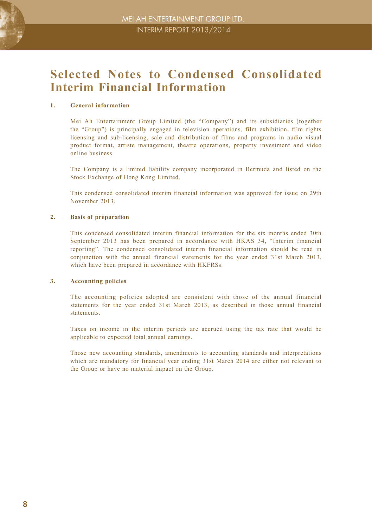

### **Selected Notes to Condensed Consolidated Interim Financial Information**

#### **1. General information**

Mei Ah Entertainment Group Limited (the "Company") and its subsidiaries (together the "Group") is principally engaged in television operations, film exhibition, film rights licensing and sub-licensing, sale and distribution of films and programs in audio visual product format, artiste management, theatre operations, property investment and video online business.

The Company is a limited liability company incorporated in Bermuda and listed on the Stock Exchange of Hong Kong Limited.

This condensed consolidated interim financial information was approved for issue on 29th November 2013.

#### **2. Basis of preparation**

This condensed consolidated interim financial information for the six months ended 30th September 2013 has been prepared in accordance with HKAS 34, "Interim financial reporting". The condensed consolidated interim financial information should be read in conjunction with the annual financial statements for the year ended 31st March 2013, which have been prepared in accordance with HKFRSs.

#### **3. Accounting policies**

The accounting policies adopted are consistent with those of the annual financial statements for the year ended 31st March 2013, as described in those annual financial statements.

Taxes on income in the interim periods are accrued using the tax rate that would be applicable to expected total annual earnings.

Those new accounting standards, amendments to accounting standards and interpretations which are mandatory for financial year ending 31st March 2014 are either not relevant to the Group or have no material impact on the Group.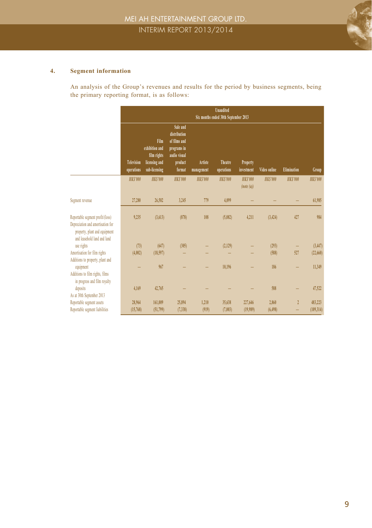

#### **4. Segment information**

An analysis of the Group's revenues and results for the period by business segments, being the primary reporting format, is as follows:

|                                                                                                                                       | <b>Unaudited</b><br>Six months ended 30th September 2013 |                                                                         |                                                                                              |                       |                       |                             |                |                    |                |
|---------------------------------------------------------------------------------------------------------------------------------------|----------------------------------------------------------|-------------------------------------------------------------------------|----------------------------------------------------------------------------------------------|-----------------------|-----------------------|-----------------------------|----------------|--------------------|----------------|
|                                                                                                                                       | Television<br>operations                                 | Film<br>exhibition and<br>film rights<br>licensing and<br>sub-licensing | Sale and<br>distribution<br>of films and<br>programs in<br>audio visual<br>product<br>format | Artiste<br>management | Theatre<br>operations | Property<br>investment      | Video online   | <b>Elimination</b> | Group          |
|                                                                                                                                       | <b>HKS'000</b>                                           | <b>HKS'000</b>                                                          | <b>HKS'000</b>                                                                               | <b>HKS'000</b>        | <b>HKS'000</b>        | <b>HKS'000</b><br>(note(a)) | <b>HKS'000</b> | <b>HKS'000</b>     | <b>HKS'000</b> |
| Segment revenue                                                                                                                       | 27,280                                                   | 26,582                                                                  | 3.245                                                                                        | 779                   | 4.099                 |                             |                |                    | 61,985         |
| Reportable segment profit/(loss)<br>Depreciation and amortisation for<br>property, plant and equipment<br>and leasehold land and land | 9,235                                                    | (3,613)                                                                 | (878)                                                                                        | 108                   | (5,082)               | 4,211                       | (3, 424)       | 427                | 984            |
| use rights                                                                                                                            | (73)                                                     | (647)                                                                   | (305)                                                                                        |                       | (2,129)               |                             | (293)          |                    | (3, 447)       |
| Amortisation for film rights<br>Additions to property, plant and                                                                      | (4,002)                                                  | (18, 597)                                                               |                                                                                              |                       |                       |                             | (588)          | 527                | (22,660)       |
| equipment<br>Additions to film rights, films<br>in progress and film royalty                                                          |                                                          | 967                                                                     |                                                                                              |                       | 10,196                |                             | 186            |                    | 11,349         |
| deposits                                                                                                                              | 4.169                                                    | 42,765                                                                  |                                                                                              |                       |                       |                             | 588            |                    | 47,522         |
| As at 30th September 2013<br>Reportable segment assets                                                                                | 28,964                                                   | 161,009                                                                 | 25,894                                                                                       | 1.210                 | 35,638                | 227,646                     | 2.860          | $\mathfrak{p}$     | 483,223        |
| Reportable segment liabilities                                                                                                        | (15,768)                                                 | (51, 799)                                                               | (7,338)                                                                                      | (919)                 | (7,003)               | (19,989)                    | (6, 498)       |                    | (109, 314)     |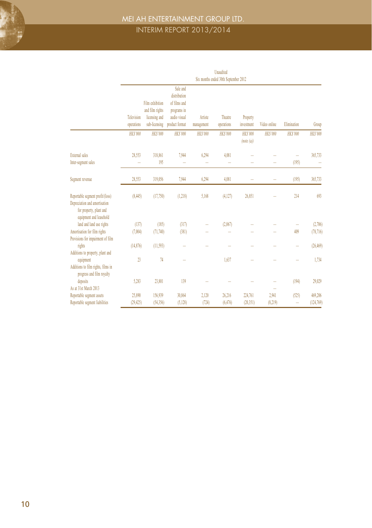

### MEI AH ENTERTAINMENT GROUP LTD. INTERIM REPORT 2013/2014

|                                                                                                                         | <b>Unaudited</b><br>Six months ended 30th September 2012 |                                                                      |                                                                                           |                       |                       |                             |                  |                |                      |
|-------------------------------------------------------------------------------------------------------------------------|----------------------------------------------------------|----------------------------------------------------------------------|-------------------------------------------------------------------------------------------|-----------------------|-----------------------|-----------------------------|------------------|----------------|----------------------|
|                                                                                                                         |                                                          |                                                                      |                                                                                           |                       |                       |                             |                  |                |                      |
|                                                                                                                         | Television<br>operations                                 | Film exhibition<br>and film rights<br>licensing and<br>sub-licensing | Sale and<br>distribution<br>of films and<br>programs in<br>audio visual<br>product format | Artiste<br>management | Theatre<br>operations | Property<br>investment      | Video online     | Elimination    | Group                |
|                                                                                                                         | <b>HKS'000</b>                                           | <b>HKS'000</b>                                                       | <b>HK\$'000</b>                                                                           | <b>HKS'000</b>        | <b>HKS'000</b>        | <b>HKS'000</b><br>(note(a)) | <b>HKS'000</b>   | <b>HKS'000</b> | <b>HKS'000</b>       |
| External sales<br>Inter-segment sales                                                                                   | 28,553                                                   | 318,861<br>195                                                       | 7,944                                                                                     | 6,294                 | 4,081                 |                             |                  | (195)          | 365,733              |
|                                                                                                                         |                                                          |                                                                      |                                                                                           |                       |                       |                             |                  |                |                      |
| Segment revenue                                                                                                         | 28,553                                                   | 319,056                                                              | 7,944                                                                                     | 6,294                 | 4,081                 |                             |                  | (195)          | 365,733              |
| Reportable segment profit/(loss)<br>Depreciation and amortisation<br>for property, plant and<br>equipment and leasehold | (8, 445)                                                 | (17,750)                                                             | (1, 218)                                                                                  | 5,168                 | (4, 127)              | 26,851                      |                  | 214            | 693                  |
| land and land use rights                                                                                                | (137)                                                    | (185)                                                                | (317)                                                                                     |                       | (2,067)               |                             |                  |                | (2,706)              |
| Amortisation for film rights<br>Provisions for impairment of film                                                       | (7.004)                                                  | (71,740)                                                             | (381)                                                                                     |                       |                       |                             |                  | 409            | (78, 716)            |
| rights<br>Additions to property, plant and                                                                              | (14, 876)                                                | (11, 593)                                                            |                                                                                           |                       |                       |                             |                  |                | (26, 469)            |
| equipment<br>Additions to film rights, films in<br>progress and film royalty                                            | 23                                                       | 74                                                                   |                                                                                           |                       | 1,637                 |                             |                  |                | 1,734                |
| deposits<br>As at 31st March 2013                                                                                       | 5,283                                                    | 23,801                                                               | 139                                                                                       |                       |                       |                             |                  | (194)          | 29,029               |
| Reportable segment assets<br>Reportable segment liabilities                                                             | 25,890<br>(29, 425)                                      | 156,939<br>(54,356)                                                  | 30,864<br>(5, 128)                                                                        | 2,120<br>(724)        | 26,216<br>(6, 476)    | 224,761<br>(20, 351)        | 2,941<br>(8,219) | (525)<br>÷     | 469,206<br>(124,769) |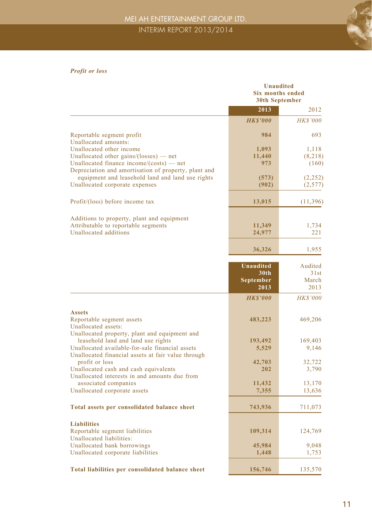

#### *Profit or loss*

|                                                                                                                                                                                              | Unaudited<br>Six months ended<br>30th September           |                                  |  |  |
|----------------------------------------------------------------------------------------------------------------------------------------------------------------------------------------------|-----------------------------------------------------------|----------------------------------|--|--|
|                                                                                                                                                                                              | 2013                                                      | 2012                             |  |  |
|                                                                                                                                                                                              | <b>HKS'000</b>                                            | <b>HK\$'000</b>                  |  |  |
| Reportable segment profit<br>Unallocated amounts:                                                                                                                                            | 984                                                       | 693                              |  |  |
| Unallocated other income<br>Unallocated other gains/(losses) $-$ net<br>Unallocated finance income/ $(costs)$ — net                                                                          | 1,093<br>11,440<br>973                                    | 1,118<br>(8, 218)<br>(160)       |  |  |
| Depreciation and amortisation of property, plant and<br>equipment and leasehold land and land use rights<br>Unallocated corporate expenses                                                   | (573)<br>(902)                                            | (2, 252)<br>(2,577)              |  |  |
| Profit/(loss) before income tax                                                                                                                                                              | 13,015                                                    | (11, 396)                        |  |  |
| Additions to property, plant and equipment<br>Attributable to reportable segments<br>Unallocated additions                                                                                   | 11,349<br>24,977                                          | 1,734<br>221                     |  |  |
|                                                                                                                                                                                              | 36,326                                                    | 1,955                            |  |  |
|                                                                                                                                                                                              | <b>Unaudited</b><br>30 <sub>th</sub><br>September<br>2013 | Audited<br>31st<br>March<br>2013 |  |  |
|                                                                                                                                                                                              | <b>HKS'000</b>                                            | <b>HK\$'000</b>                  |  |  |
| <b>Assets</b><br>Reportable segment assets<br>Unallocated assets:                                                                                                                            | 483,223                                                   | 469,206                          |  |  |
| Unallocated property, plant and equipment and<br>leasehold land and land use rights<br>Unallocated available-for-sale financial assets<br>Unallocated financial assets at fair value through | 193,492<br>5,529                                          | 169,403<br>9,146                 |  |  |
| profit or loss<br>Unallocated cash and cash equivalents<br>Unallocated interests in and amounts due from                                                                                     | 42,703<br>202                                             | 32,722<br>3,790                  |  |  |
| associated companies<br>Unallocated corporate assets                                                                                                                                         | 11,432<br>7,355                                           | 13,170<br>13,636                 |  |  |
| Total assets per consolidated balance sheet                                                                                                                                                  | 743,936                                                   | 711,073                          |  |  |
| <b>Liabilities</b><br>Reportable segment liabilities<br>Unallocated liabilities:                                                                                                             | 109,314                                                   | 124,769                          |  |  |
| Unallocated bank borrowings<br>Unallocated corporate liabilities                                                                                                                             | 45,984<br>1,448                                           | 9,048<br>1,753                   |  |  |
| Total liabilities per consolidated balance sheet                                                                                                                                             | 156,746                                                   | 135,570                          |  |  |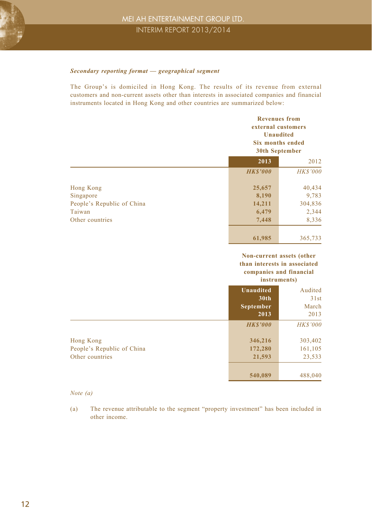#### *Secondary reporting format — geographical segment*

The Group's is domiciled in Hong Kong. The results of its revenue from external customers and non-current assets other than interests in associated companies and financial instruments located in Hong Kong and other countries are summarized below:

|                            |                | <b>Revenues from</b><br>external customers<br><b>Unaudited</b><br><b>Six months ended</b><br>30th September |  |  |  |
|----------------------------|----------------|-------------------------------------------------------------------------------------------------------------|--|--|--|
|                            | 2013           | 2012                                                                                                        |  |  |  |
|                            | <b>HKS'000</b> | <b>HK\$'000</b>                                                                                             |  |  |  |
| Hong Kong                  | 25,657         | 40,434                                                                                                      |  |  |  |
| Singapore                  | 8,190          | 9,783                                                                                                       |  |  |  |
| People's Republic of China | 14,211         | 304,836                                                                                                     |  |  |  |
| Taiwan                     | 6,479          | 2,344                                                                                                       |  |  |  |
| Other countries            | 7,448          | 8,336                                                                                                       |  |  |  |
|                            | 61,985         | 365,733                                                                                                     |  |  |  |

#### **Non-current assets (other than interests in associated companies and financial instruments)**

|                            | 1115t1 umvmt57   |                 |  |  |
|----------------------------|------------------|-----------------|--|--|
|                            | <b>Unaudited</b> | Audited         |  |  |
|                            | 30th             | 31st            |  |  |
|                            | <b>September</b> | March           |  |  |
|                            | 2013             | 2013            |  |  |
|                            | <b>HKS'000</b>   | <b>HK\$'000</b> |  |  |
| Hong Kong                  | 346,216          | 303,402         |  |  |
| People's Republic of China | 172,280          | 161,105         |  |  |
| Other countries            | 21,593           | 23,533          |  |  |
|                            | 540,089          | 488,040         |  |  |

#### *Note (a)*

(a) The revenue attributable to the segment "property investment" has been included in other income.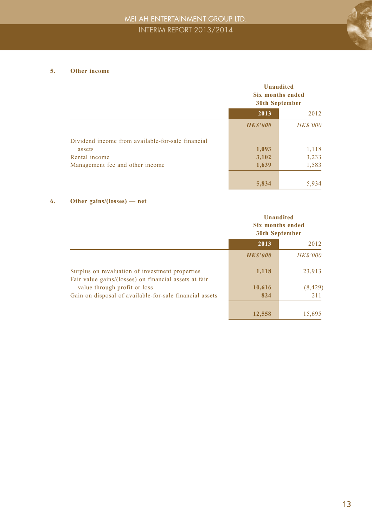

#### **5. Other income**

|                                                   |                | <b>Unaudited</b><br>Six months ended<br>30th September |  |
|---------------------------------------------------|----------------|--------------------------------------------------------|--|
|                                                   | 2013           | 2012                                                   |  |
|                                                   | <b>HKS'000</b> | <b>HK\$'000</b>                                        |  |
| Dividend income from available-for-sale financial |                |                                                        |  |
| assets                                            | 1,093          | 1,118                                                  |  |
| Rental income                                     | 3,102          | 3,233                                                  |  |
| Management fee and other income                   | 1,639          | 1,583                                                  |  |
|                                                   | 5,834          | 5,934                                                  |  |

#### **6. Other gains/(losses) — net**

|                                                                                                          | <b>Unaudited</b><br>Six months ended<br>30th September |                 |
|----------------------------------------------------------------------------------------------------------|--------------------------------------------------------|-----------------|
|                                                                                                          | 2013<br>2012                                           |                 |
|                                                                                                          | <b>HKS'000</b>                                         | <b>HK\$'000</b> |
| Surplus on revaluation of investment properties<br>Fair value gains/(losses) on financial assets at fair | 1,118                                                  | 23,913          |
| value through profit or loss                                                                             | 10,616                                                 | (8, 429)        |
| Gain on disposal of available-for-sale financial assets                                                  | 824                                                    | 211             |
|                                                                                                          | 12,558                                                 | 15,695          |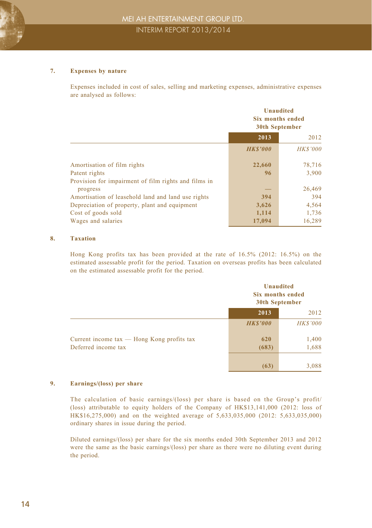#### **7. Expenses by nature**

Expenses included in cost of sales, selling and marketing expenses, administrative expenses are analysed as follows:

|                                                      | <b>Unaudited</b><br>Six months ended<br><b>30th September</b> |                 |
|------------------------------------------------------|---------------------------------------------------------------|-----------------|
|                                                      | 2013<br>2012                                                  |                 |
|                                                      | <b>HKS'000</b>                                                | <b>HK\$'000</b> |
| Amortisation of film rights                          | 22,660                                                        | 78,716          |
| Patent rights                                        | 96                                                            | 3,900           |
| Provision for impairment of film rights and films in |                                                               |                 |
| progress                                             |                                                               | 26,469          |
| Amortisation of leasehold land and land use rights   | 394                                                           | 394             |
| Depreciation of property, plant and equipment        | 3,626                                                         | 4,564           |
| Cost of goods sold                                   | 1,114                                                         | 1,736           |
| Wages and salaries                                   | 17.094                                                        | 16,289          |

#### **8. Taxation**

Hong Kong profits tax has been provided at the rate of 16.5% (2012: 16.5%) on the estimated assessable profit for the period. Taxation on overseas profits has been calculated on the estimated assessable profit for the period.

|                                                |                 | <b>Unaudited</b><br>Six months ended<br>30th September |  |
|------------------------------------------------|-----------------|--------------------------------------------------------|--|
|                                                | 2013            | 2012                                                   |  |
|                                                | <b>HK\$'000</b> | <b>HK\$'000</b>                                        |  |
| Current income $tax$ — Hong Kong profits $tax$ | 620             | 1,400                                                  |  |
| Deferred income tax                            | (683)           | 1,688                                                  |  |
|                                                |                 |                                                        |  |
|                                                | (63)            | 3,088                                                  |  |

#### **9. Earnings/(loss) per share**

The calculation of basic earnings/(loss) per share is based on the Group's profit/ (loss) attributable to equity holders of the Company of HK\$13,141,000 (2012: loss of HK\$16,275,000) and on the weighted average of 5,633,035,000 (2012: 5,633,035,000) ordinary shares in issue during the period.

Diluted earnings/(loss) per share for the six months ended 30th September 2013 and 2012 were the same as the basic earnings/(loss) per share as there were no diluting event during the period.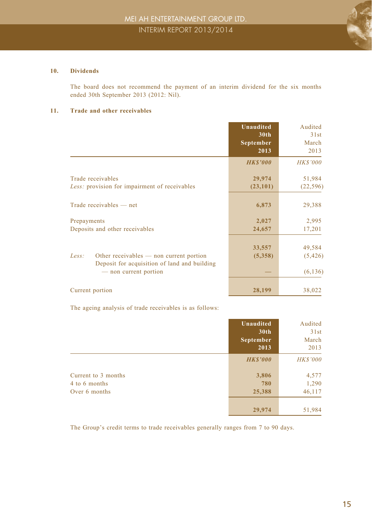

#### **10. Dividends**

The board does not recommend the payment of an interim dividend for the six months ended 30th September 2013 (2012: Nil).

#### **11. Trade and other receivables**

|                                                                                                                           | <b>Unaudited</b><br>30 <sub>th</sub><br>September<br>2013 | Audited<br>31st<br>March<br>2013 |
|---------------------------------------------------------------------------------------------------------------------------|-----------------------------------------------------------|----------------------------------|
|                                                                                                                           | <b>HKS'000</b>                                            | <b>HK\$'000</b>                  |
| Trade receivables<br>Less: provision for impairment of receivables                                                        | 29,974<br>(23, 101)                                       | 51,984<br>(22, 596)              |
| Trade receivables — net                                                                                                   | 6,873                                                     | 29,388                           |
| Prepayments<br>Deposits and other receivables                                                                             | 2,027<br>24,657                                           | 2,995<br>17,201                  |
| Other receivables — non current portion<br>Less:<br>Deposit for acquisition of land and building<br>— non current portion | 33,557<br>(5,358)                                         | 49,584<br>(5, 426)<br>(6, 136)   |
| Current portion                                                                                                           | 28,199                                                    | 38,022                           |

The ageing analysis of trade receivables is as follows:

|                                                       | <b>Unaudited</b><br>30th<br>September<br>2013 | Audited<br>31st<br>March<br>2013 |
|-------------------------------------------------------|-----------------------------------------------|----------------------------------|
|                                                       | <b>HKS'000</b>                                | <b>HK\$'000</b>                  |
| Current to 3 months<br>4 to 6 months<br>Over 6 months | 3,806<br>780<br>25,388                        | 4,577<br>1,290<br>46,117         |
|                                                       | 29,974                                        | 51,984                           |

The Group's credit terms to trade receivables generally ranges from 7 to 90 days.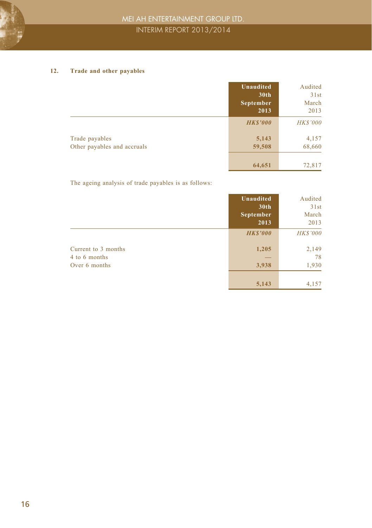#### **12. Trade and other payables**

|                                               | Unaudited<br>30th<br><b>September</b><br>2013 | Audited<br>31st<br>March<br>2013 |
|-----------------------------------------------|-----------------------------------------------|----------------------------------|
|                                               | <b>HKS'000</b>                                | <b>HK\$'000</b>                  |
| Trade payables<br>Other payables and accruals | 5,143<br>59,508                               | 4,157<br>68,660                  |
|                                               | 64,651                                        | 72,817                           |

The ageing analysis of trade payables is as follows:

|                                                       | Unaudited<br>30th<br>September<br>2013 | Audited<br>31st<br>March<br>2013 |
|-------------------------------------------------------|----------------------------------------|----------------------------------|
|                                                       | <b>HKS'000</b>                         | <b>HK\$'000</b>                  |
| Current to 3 months<br>4 to 6 months<br>Over 6 months | 1,205<br>3,938                         | 2,149<br>78<br>1,930             |
|                                                       | 5,143                                  | 4,157                            |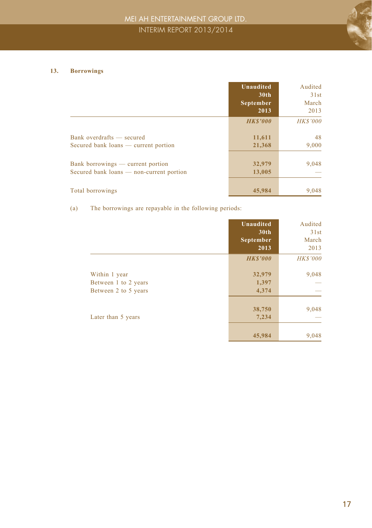#### **13. Borrowings**

|                                                                               | <b>Unaudited</b><br>30 <sub>th</sub><br>September<br>2013 | Audited<br>31st<br>March<br>2013 |
|-------------------------------------------------------------------------------|-----------------------------------------------------------|----------------------------------|
|                                                                               | <b>HKS'000</b>                                            | <b>HK\$'000</b>                  |
| Bank overdrafts — secured<br>Secured bank loans — current portion             | 11,611<br>21,368                                          | 48<br>9,000                      |
| Bank borrowings — current portion<br>Secured bank loans — non-current portion | 32,979<br>13,005                                          | 9,048                            |
| Total borrowings                                                              | 45,984                                                    | 9,048                            |

(a) The borrowings are repayable in the following periods:

|                      | <b>Unaudited</b><br>30 <sub>th</sub><br>September<br>2013 | Audited<br>31st<br>March<br>2013 |
|----------------------|-----------------------------------------------------------|----------------------------------|
|                      | <b>HK\$'000</b>                                           | <b>HK\$'000</b>                  |
| Within 1 year        | 32,979                                                    | 9,048                            |
| Between 1 to 2 years | 1,397                                                     |                                  |
| Between 2 to 5 years | 4,374                                                     |                                  |
|                      | 38,750                                                    | 9,048                            |
| Later than 5 years   | 7,234                                                     |                                  |
|                      | 45,984                                                    | 9,048                            |

 $\begin{array}{c} \begin{array}{c} \begin{array}{c} \end{array} \\ \begin{array}{c} \end{array} \end{array} \end{array}$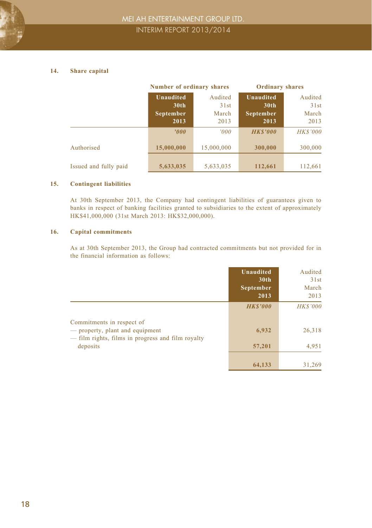#### **14. Share capital**

|                       | Number of ordinary shares |            | <b>Ordinary shares</b> |                 |
|-----------------------|---------------------------|------------|------------------------|-----------------|
|                       | <b>Unaudited</b>          | Audited    | <b>Unaudited</b>       | Audited         |
|                       | 30 <sub>th</sub>          | 31st       | 30 <sub>th</sub>       | 31st            |
|                       | September                 | March      | September              | March           |
|                       | 2013                      | 2013       | 2013                   | 2013            |
|                       | '000                      | 000'       | <b>HKS'000</b>         | <b>HK\$'000</b> |
| Authorised            | 15,000,000                | 15,000,000 | 300,000                | 300,000         |
| Issued and fully paid | 5,633,035                 | 5,633,035  | 112,661                | 112.661         |

#### **15. Contingent liabilities**

At 30th September 2013, the Company had contingent liabilities of guarantees given to banks in respect of banking facilities granted to subsidiaries to the extent of approximately HK\$41,000,000 (31st March 2013: HK\$32,000,000).

#### **16. Capital commitments**

As at 30th September 2013, the Group had contracted commitments but not provided for in the financial information as follows:

|                                                                                                                   | Unaudited<br>30 <sub>th</sub><br><b>September</b><br>2013 | Audited<br>31st<br>March<br>2013 |
|-------------------------------------------------------------------------------------------------------------------|-----------------------------------------------------------|----------------------------------|
|                                                                                                                   | <b>HKS'000</b>                                            | <b>HK\$'000</b>                  |
| Commitments in respect of<br>- property, plant and equipment<br>— film rights, films in progress and film royalty | 6,932                                                     | 26,318                           |
| deposits                                                                                                          | 57,201                                                    | 4,951                            |
|                                                                                                                   | 64,133                                                    | 31,269                           |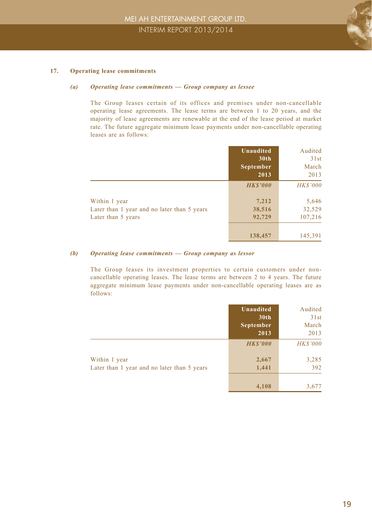

#### **17. Operating lease commitments**

#### *(a) Operating lease commitments — Group company as lessee*

The Group leases certain of its offices and premises under non-cancellable operating lease agreements. The lease terms are between 1 to 20 years, and the majority of lease agreements are renewable at the end of the lease period at market rate. The future aggregate minimum lease payments under non-cancellable operating leases are as follows:

|                                                                                    | Unaudited<br>30 <sub>th</sub><br>September<br>2013 | Audited<br>31st<br>March<br>2013              |
|------------------------------------------------------------------------------------|----------------------------------------------------|-----------------------------------------------|
| Within 1 year<br>Later than 1 year and no later than 5 years<br>Later than 5 years | <b>HKS'000</b><br>7,212<br>38,516<br>92,729        | <b>HK\$'000</b><br>5,646<br>32,529<br>107,216 |
|                                                                                    | 138,457                                            | 145,391                                       |

#### *(b) Operating lease commitments — Group company as lessor*

The Group leases its investment properties to certain customers under noncancellable operating leases. The lease terms are between 2 to 4 years. The future aggregate minimum lease payments under non-cancellable operating leases are as follows:

|                                                              | Unaudited<br>30th<br>September<br>2013 | Audited<br>31st<br>March<br>2013 |
|--------------------------------------------------------------|----------------------------------------|----------------------------------|
|                                                              | <b>HKS'000</b>                         | <b>HK\$'000</b>                  |
| Within 1 year<br>Later than 1 year and no later than 5 years | 2,667<br>1,441                         | 3,285<br>392                     |
|                                                              | 4.108                                  | 3,677                            |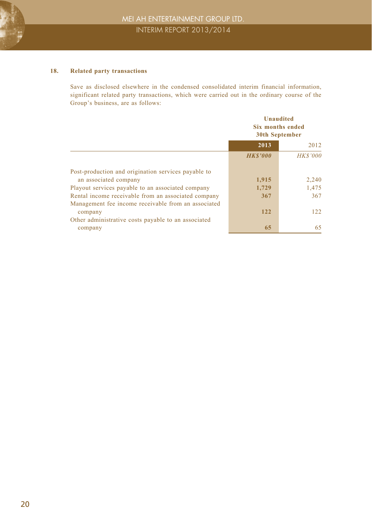#### **18. Related party transactions**

Save as disclosed elsewhere in the condensed consolidated interim financial information, significant related party transactions, which were carried out in the ordinary course of the Group's business, are as follows:

|                                                     | <b>Unaudited</b><br>Six months ended<br>30th September |                 |
|-----------------------------------------------------|--------------------------------------------------------|-----------------|
|                                                     | 2013                                                   | 2012            |
|                                                     | <b>HKS'000</b>                                         | <b>HK\$'000</b> |
| Post-production and origination services payable to |                                                        |                 |
| an associated company                               | 1,915                                                  | 2,240           |
| Playout services payable to an associated company   | 1,729                                                  | 1,475           |
| Rental income receivable from an associated company | 367                                                    | 367             |
| Management fee income receivable from an associated |                                                        |                 |
| company                                             | 122                                                    | 122             |
| Other administrative costs payable to an associated |                                                        |                 |
| company                                             | 65                                                     | 65              |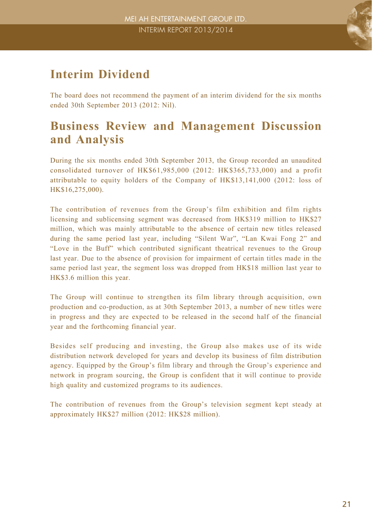### **Interim Dividend**

The board does not recommend the payment of an interim dividend for the six months ended 30th September 2013 (2012: Nil).

### **Business Review and Management Discussion and Analysis**

During the six months ended 30th September 2013, the Group recorded an unaudited consolidated turnover of HK\$61,985,000 (2012: HK\$365,733,000) and a profit attributable to equity holders of the Company of HK\$13,141,000 (2012: loss of HK\$16,275,000).

The contribution of revenues from the Group's film exhibition and film rights licensing and sublicensing segment was decreased from HK\$319 million to HK\$27 million, which was mainly attributable to the absence of certain new titles released during the same period last year, including "Silent War", "Lan Kwai Fong 2" and "Love in the Buff" which contributed significant theatrical revenues to the Group last year. Due to the absence of provision for impairment of certain titles made in the same period last year, the segment loss was dropped from HK\$18 million last year to HK\$3.6 million this year.

The Group will continue to strengthen its film library through acquisition, own production and co-production, as at 30th September 2013, a number of new titles were in progress and they are expected to be released in the second half of the financial year and the forthcoming financial year.

Besides self producing and investing, the Group also makes use of its wide distribution network developed for years and develop its business of film distribution agency. Equipped by the Group's film library and through the Group's experience and network in program sourcing, the Group is confident that it will continue to provide high quality and customized programs to its audiences.

The contribution of revenues from the Group's television segment kept steady at approximately HK\$27 million (2012: HK\$28 million).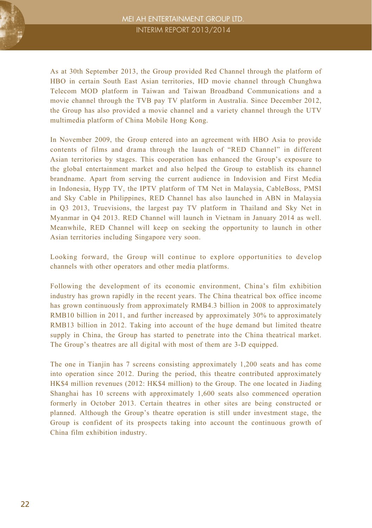

As at 30th September 2013, the Group provided Red Channel through the platform of HBO in certain South East Asian territories, HD movie channel through Chunghwa Telecom MOD platform in Taiwan and Taiwan Broadband Communications and a movie channel through the TVB pay TV platform in Australia. Since December 2012, the Group has also provided a movie channel and a variety channel through the UTV multimedia platform of China Mobile Hong Kong.

In November 2009, the Group entered into an agreement with HBO Asia to provide contents of films and drama through the launch of "RED Channel" in different Asian territories by stages. This cooperation has enhanced the Group's exposure to the global entertainment market and also helped the Group to establish its channel brandname. Apart from serving the current audience in Indovision and First Media in Indonesia, Hypp TV, the IPTV platform of TM Net in Malaysia, CableBoss, PMSI and Sky Cable in Philippines, RED Channel has also launched in ABN in Malaysia in Q3 2013, Truevisions, the largest pay TV platform in Thailand and Sky Net in Myanmar in Q4 2013. RED Channel will launch in Vietnam in January 2014 as well. Meanwhile, RED Channel will keep on seeking the opportunity to launch in other Asian territories including Singapore very soon.

Looking forward, the Group will continue to explore opportunities to develop channels with other operators and other media platforms.

Following the development of its economic environment, China's film exhibition industry has grown rapidly in the recent years. The China theatrical box office income has grown continuously from approximately RMB4.3 billion in 2008 to approximately RMB10 billion in 2011, and further increased by approximately 30% to approximately RMB13 billion in 2012. Taking into account of the huge demand but limited theatre supply in China, the Group has started to penetrate into the China theatrical market. The Group's theatres are all digital with most of them are 3-D equipped.

The one in Tianjin has 7 screens consisting approximately 1,200 seats and has come into operation since 2012. During the period, this theatre contributed approximately HK\$4 million revenues (2012: HK\$4 million) to the Group. The one located in Jiading Shanghai has 10 screens with approximately 1,600 seats also commenced operation formerly in October 2013. Certain theatres in other sites are being constructed or planned. Although the Group's theatre operation is still under investment stage, the Group is confident of its prospects taking into account the continuous growth of China film exhibition industry.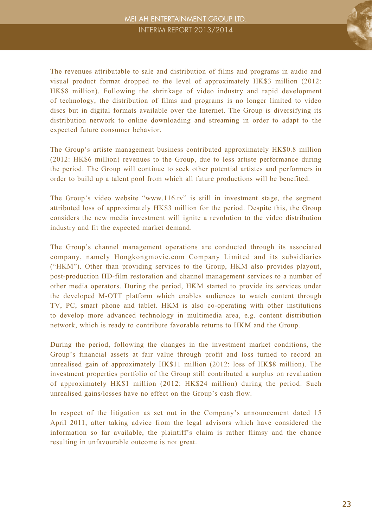

The revenues attributable to sale and distribution of films and programs in audio and visual product format dropped to the level of approximately HK\$3 million (2012: HK\$8 million). Following the shrinkage of video industry and rapid development of technology, the distribution of films and programs is no longer limited to video discs but in digital formats available over the Internet. The Group is diversifying its distribution network to online downloading and streaming in order to adapt to the expected future consumer behavior.

The Group's artiste management business contributed approximately HK\$0.8 million (2012: HK\$6 million) revenues to the Group, due to less artiste performance during the period. The Group will continue to seek other potential artistes and performers in order to build up a talent pool from which all future productions will be benefited.

The Group's video website "www.116.tv" is still in investment stage, the segment attributed loss of approximately HK\$3 million for the period. Despite this, the Group considers the new media investment will ignite a revolution to the video distribution industry and fit the expected market demand.

The Group's channel management operations are conducted through its associated company, namely Hongkongmovie.com Company Limited and its subsidiaries ("HKM"). Other than providing services to the Group, HKM also provides playout, post-production HD-film restoration and channel management services to a number of other media operators. During the period, HKM started to provide its services under the developed M-OTT platform which enables audiences to watch content through TV, PC, smart phone and tablet. HKM is also co-operating with other institutions to develop more advanced technology in multimedia area, e.g. content distribution network, which is ready to contribute favorable returns to HKM and the Group.

During the period, following the changes in the investment market conditions, the Group's financial assets at fair value through profit and loss turned to record an unrealised gain of approximately HK\$11 million (2012: loss of HK\$8 million). The investment properties portfolio of the Group still contributed a surplus on revaluation of approximately HK\$1 million (2012: HK\$24 million) during the period. Such unrealised gains/losses have no effect on the Group's cash flow.

In respect of the litigation as set out in the Company's announcement dated 15 April 2011, after taking advice from the legal advisors which have considered the information so far available, the plaintiff's claim is rather flimsy and the chance resulting in unfavourable outcome is not great.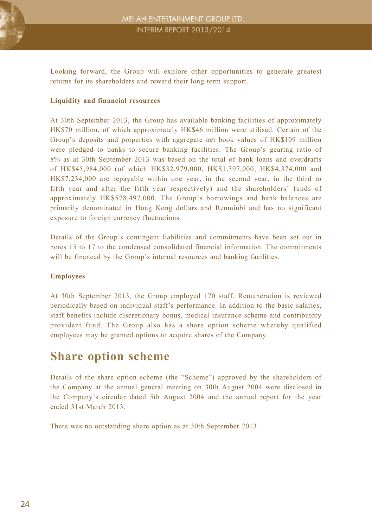

Looking forward, the Group will explore other opportunities to generate greatest returns for its shareholders and reward their long-term support.

#### **Liquidity and financial resources**

At 30th September 2013, the Group has available banking facilities of approximately HK\$70 million, of which approximately HK\$46 million were utilised. Certain of the Group's deposits and properties with aggregate net book values of HK\$109 million were pledged to banks to secure banking facilities. The Group's gearing ratio of 8% as at 30th September 2013 was based on the total of bank loans and overdrafts of HK\$45,984,000 (of which HK\$32,979,000, HK\$1,397,000, HK\$4,374,000 and HK\$7,234,000 are repayable within one year, in the second year, in the third to fifth year and after the fifth year respectively) and the shareholders' funds of approximately HK\$578,497,000. The Group's borrowings and bank balances are primarily denominated in Hong Kong dollars and Renminbi and has no significant exposure to foreign currency fluctuations.

Details of the Group's contingent liabilities and commitments have been set out in notes 15 to 17 to the condensed consolidated financial information. The commitments will be financed by the Group's internal resources and banking facilities.

#### **Employees**

At 30th September 2013, the Group employed 170 staff. Remuneration is reviewed periodically based on individual staff's performance. In addition to the basic salaries, staff benefits include discretionary bonus, medical insurance scheme and contributory provident fund. The Group also has a share option scheme whereby qualified employees may be granted options to acquire shares of the Company.

### **Share option scheme**

Details of the share option scheme (the "Scheme") approved by the shareholders of the Company at the annual general meeting on 30th August 2004 were disclosed in the Company's circular dated 5th August 2004 and the annual report for the year ended 31st March 2013.

There was no outstanding share option as at 30th September 2013.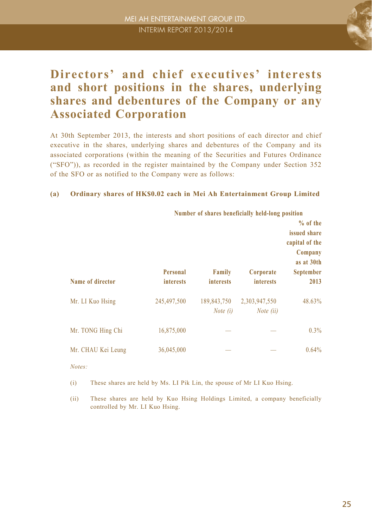

### **Directors' and chief executives' interests and short positions in the shares, underlying shares and debentures of the Company or any Associated Corporation**

At 30th September 2013, the interests and short positions of each director and chief executive in the shares, underlying shares and debentures of the Company and its associated corporations (within the meaning of the Securities and Futures Ordinance ("SFO")), as recorded in the register maintained by the Company under Section 352 of the SFO or as notified to the Company were as follows:

#### **(a) Ordinary shares of HK\$0.02 each in Mei Ah Entertainment Group Limited**

|                    |                              | Number of shares beneficially held-long position |                               |                                            |
|--------------------|------------------------------|--------------------------------------------------|-------------------------------|--------------------------------------------|
| Name of director   | Personal<br><i>interests</i> | Family<br><i>interests</i>                       | Corporate<br><b>interests</b> | Company<br>as at 30th<br>September<br>2013 |
| Mr. LI Kuo Hsing   | 245,497,500                  | 189,843,750<br><i>Note</i> $(i)$                 | 2,303,947,550<br>Note (ii)    | 48.63%                                     |
| Mr. TONG Hing Chi  | 16,875,000                   |                                                  |                               | 0.3%                                       |
| Mr. CHAU Kei Leung | 36,045,000                   |                                                  |                               | 0.64%                                      |

*Notes:*

(i) These shares are held by Ms. LI Pik Lin, the spouse of Mr LI Kuo Hsing.

(ii) These shares are held by Kuo Hsing Holdings Limited, a company beneficially controlled by Mr. LI Kuo Hsing.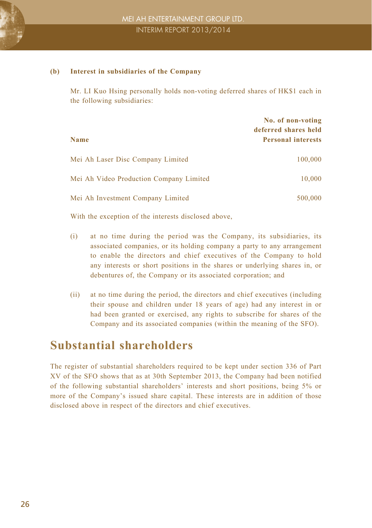

#### **(b) Interest in subsidiaries of the Company**

Mr. LI Kuo Hsing personally holds non-voting deferred shares of HK\$1 each in the following subsidiaries:

| <b>Name</b>                             | No. of non-voting<br>deferred shares held<br><b>Personal interests</b> |
|-----------------------------------------|------------------------------------------------------------------------|
| Mei Ah Laser Disc Company Limited       | 100,000                                                                |
| Mei Ah Video Production Company Limited | 10,000                                                                 |
| Mei Ah Investment Company Limited       | 500,000                                                                |

With the exception of the interests disclosed above,

- (i) at no time during the period was the Company, its subsidiaries, its associated companies, or its holding company a party to any arrangement to enable the directors and chief executives of the Company to hold any interests or short positions in the shares or underlying shares in, or debentures of, the Company or its associated corporation; and
- (ii) at no time during the period, the directors and chief executives (including their spouse and children under 18 years of age) had any interest in or had been granted or exercised, any rights to subscribe for shares of the Company and its associated companies (within the meaning of the SFO).

### **Substantial shareholders**

The register of substantial shareholders required to be kept under section 336 of Part XV of the SFO shows that as at 30th September 2013, the Company had been notified of the following substantial shareholders' interests and short positions, being 5% or more of the Company's issued share capital. These interests are in addition of those disclosed above in respect of the directors and chief executives.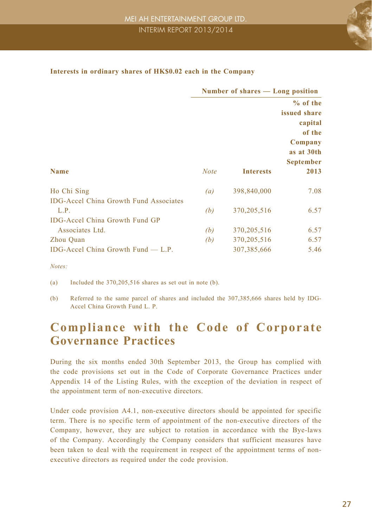

|                                                                                                | Number of shares — Long position |                  |                                                                          |
|------------------------------------------------------------------------------------------------|----------------------------------|------------------|--------------------------------------------------------------------------|
|                                                                                                |                                  |                  | $%$ of the<br>issued share<br>capital<br>of the<br>Company<br>as at 30th |
| <b>Name</b>                                                                                    | <b>Note</b>                      | <b>Interests</b> | <b>September</b><br>2013                                                 |
| Ho Chi Sing                                                                                    | (a)                              | 398,840,000      | 7.08                                                                     |
| <b>IDG-Accel China Growth Fund Associates</b><br>L.P.<br><b>IDG-Accel China Growth Fund GP</b> | (b)                              | 370, 205, 516    | 6.57                                                                     |
| Associates Ltd.                                                                                | (b)                              | 370, 205, 516    | 6.57                                                                     |
| Zhou Quan                                                                                      | (b)                              | 370,205,516      | 6.57                                                                     |
| IDG-Accel China Growth Fund $-$ L.P.                                                           |                                  | 307, 385, 666    | 5.46                                                                     |

#### **Interests in ordinary shares of HK\$0.02 each in the Company**

*Notes:*

(a) Included the 370,205,516 shares as set out in note (b).

(b) Referred to the same parcel of shares and included the 307,385,666 shares held by IDG-Accel China Growth Fund L. P.

### **Compliance with the Code of Corporate Governance Practices**

During the six months ended 30th September 2013, the Group has complied with the code provisions set out in the Code of Corporate Governance Practices under Appendix 14 of the Listing Rules, with the exception of the deviation in respect of the appointment term of non-executive directors.

Under code provision A4.1, non-executive directors should be appointed for specific term. There is no specific term of appointment of the non-executive directors of the Company, however, they are subject to rotation in accordance with the Bye-laws of the Company. Accordingly the Company considers that sufficient measures have been taken to deal with the requirement in respect of the appointment terms of nonexecutive directors as required under the code provision.